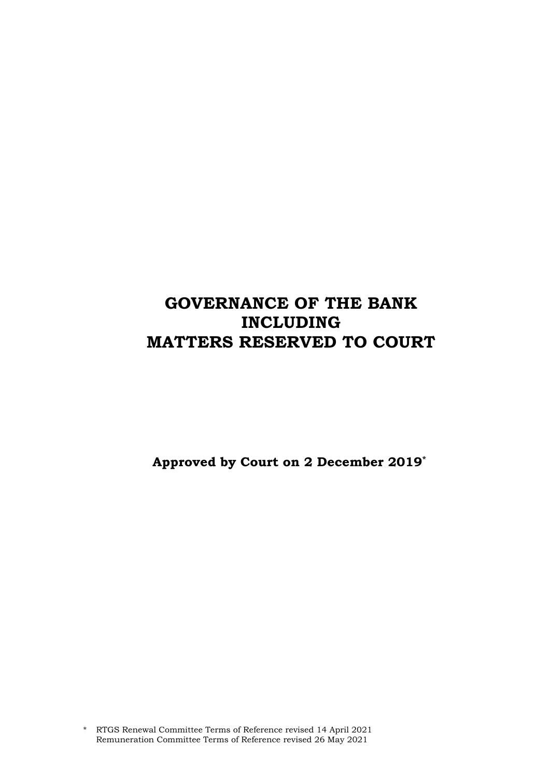# **GOVERNANCE OF THE BANK INCLUDING MATTERS RESERVED TO COURT**

**Approved by Court on 2 December 2019\***

<sup>\*</sup> RTGS Renewal Committee Terms of Reference revised 14 April 2021 Remuneration Committee Terms of Reference revised 26 May 2021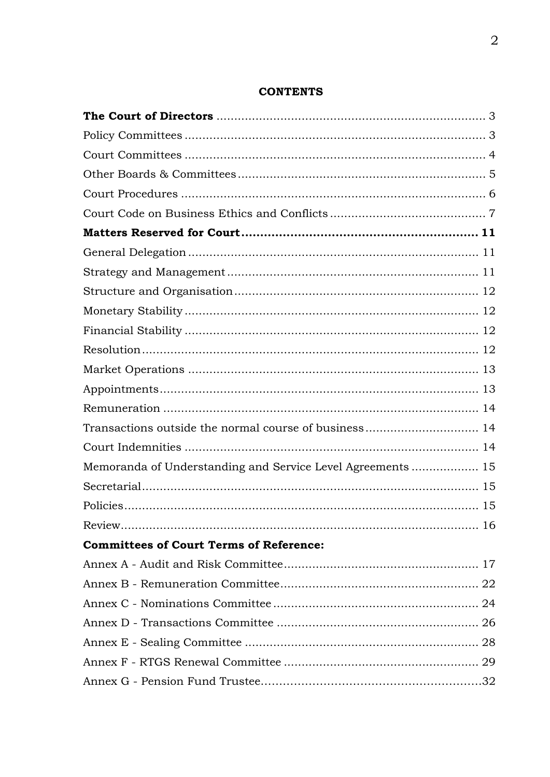#### **CONTENTS**

| Transactions outside the normal course of business 14       |  |
|-------------------------------------------------------------|--|
|                                                             |  |
| Memoranda of Understanding and Service Level Agreements  15 |  |
|                                                             |  |
|                                                             |  |
|                                                             |  |
| <b>Committees of Court Terms of Reference:</b>              |  |
|                                                             |  |
|                                                             |  |
|                                                             |  |
|                                                             |  |
|                                                             |  |
|                                                             |  |
|                                                             |  |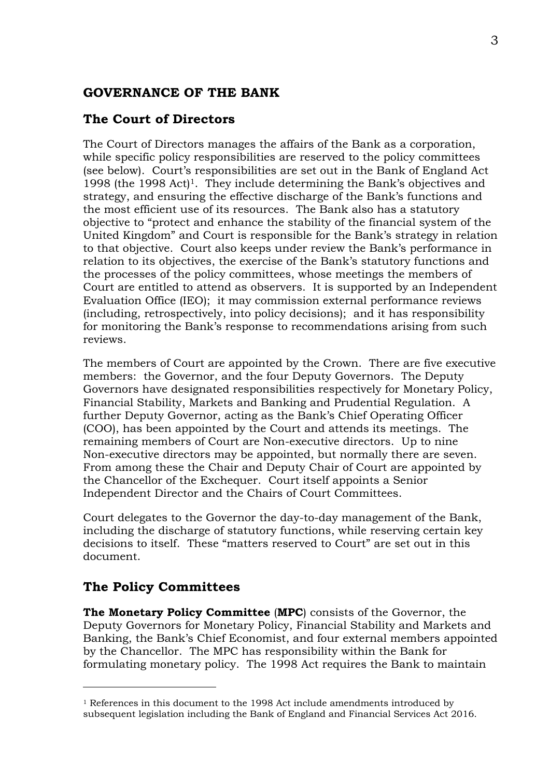### **GOVERNANCE OF THE BANK**

### **The Court of Directors**

The Court of Directors manages the affairs of the Bank as a corporation, while specific policy responsibilities are reserved to the policy committees (see below). Court's responsibilities are set out in the Bank of England Act 1998 (the 1998 Act)1. They include determining the Bank's objectives and strategy, and ensuring the effective discharge of the Bank's functions and the most efficient use of its resources. The Bank also has a statutory objective to "protect and enhance the stability of the financial system of the United Kingdom" and Court is responsible for the Bank's strategy in relation to that objective. Court also keeps under review the Bank's performance in relation to its objectives, the exercise of the Bank's statutory functions and the processes of the policy committees, whose meetings the members of Court are entitled to attend as observers. It is supported by an Independent Evaluation Office (IEO); it may commission external performance reviews (including, retrospectively, into policy decisions); and it has responsibility for monitoring the Bank's response to recommendations arising from such reviews.

The members of Court are appointed by the Crown. There are five executive members: the Governor, and the four Deputy Governors. The Deputy Governors have designated responsibilities respectively for Monetary Policy, Financial Stability, Markets and Banking and Prudential Regulation. A further Deputy Governor, acting as the Bank's Chief Operating Officer (COO), has been appointed by the Court and attends its meetings. The remaining members of Court are Non-executive directors. Up to nine Non-executive directors may be appointed, but normally there are seven. From among these the Chair and Deputy Chair of Court are appointed by the Chancellor of the Exchequer. Court itself appoints a Senior Independent Director and the Chairs of Court Committees.

Court delegates to the Governor the day-to-day management of the Bank, including the discharge of statutory functions, while reserving certain key decisions to itself. These "matters reserved to Court" are set out in this document.

#### **The Policy Committees**

1

**The Monetary Policy Committee** (**MPC**) consists of the Governor, the Deputy Governors for Monetary Policy, Financial Stability and Markets and Banking, the Bank's Chief Economist, and four external members appointed by the Chancellor. The MPC has responsibility within the Bank for formulating monetary policy. The 1998 Act requires the Bank to maintain

<sup>1</sup> References in this document to the 1998 Act include amendments introduced by subsequent legislation including the Bank of England and Financial Services Act 2016.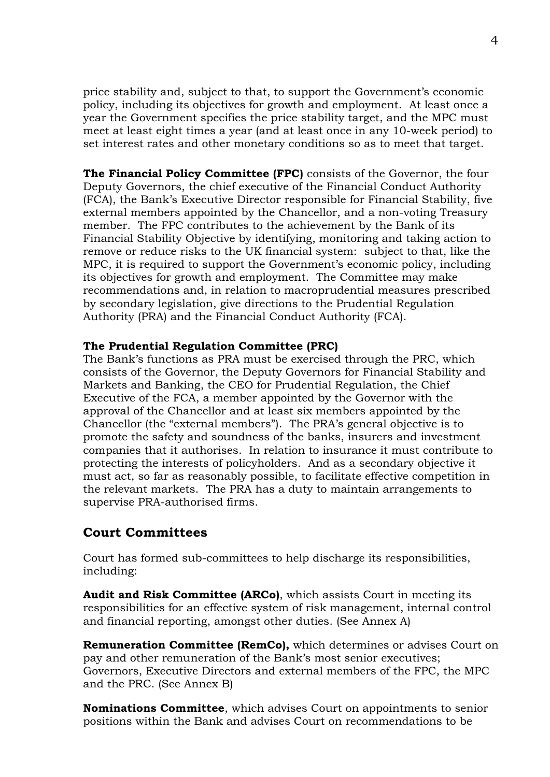price stability and, subject to that, to support the Government's economic policy, including its objectives for growth and employment. At least once a year the Government specifies the price stability target, and the MPC must meet at least eight times a year (and at least once in any 10-week period) to set interest rates and other monetary conditions so as to meet that target.

**The Financial Policy Committee (FPC)** consists of the Governor, the four Deputy Governors, the chief executive of the Financial Conduct Authority (FCA), the Bank's Executive Director responsible for Financial Stability, five external members appointed by the Chancellor, and a non-voting Treasury member. The FPC contributes to the achievement by the Bank of its Financial Stability Objective by identifying, monitoring and taking action to remove or reduce risks to the UK financial system: subject to that, like the MPC, it is required to support the Government's economic policy, including its objectives for growth and employment. The Committee may make recommendations and, in relation to macroprudential measures prescribed by secondary legislation, give directions to the Prudential Regulation Authority (PRA) and the Financial Conduct Authority (FCA).

#### **The Prudential Regulation Committee (PRC)**

The Bank's functions as PRA must be exercised through the PRC, which consists of the Governor, the Deputy Governors for Financial Stability and Markets and Banking, the CEO for Prudential Regulation, the Chief Executive of the FCA, a member appointed by the Governor with the approval of the Chancellor and at least six members appointed by the Chancellor (the "external members"). The PRA's general objective is to promote the safety and soundness of the banks, insurers and investment companies that it authorises. In relation to insurance it must contribute to protecting the interests of policyholders. And as a secondary objective it must act, so far as reasonably possible, to facilitate effective competition in the relevant markets. The PRA has a duty to maintain arrangements to supervise PRA-authorised firms.

### **Court Committees**

Court has formed sub-committees to help discharge its responsibilities, including:

**Audit and Risk Committee (ARCo)**, which assists Court in meeting its responsibilities for an effective system of risk management, internal control and financial reporting, amongst other duties. (See Annex A)

**Remuneration Committee (RemCo),** which determines or advises Court on pay and other remuneration of the Bank's most senior executives; Governors, Executive Directors and external members of the FPC, the MPC and the PRC. (See Annex B)

**Nominations Committee**, which advises Court on appointments to senior positions within the Bank and advises Court on recommendations to be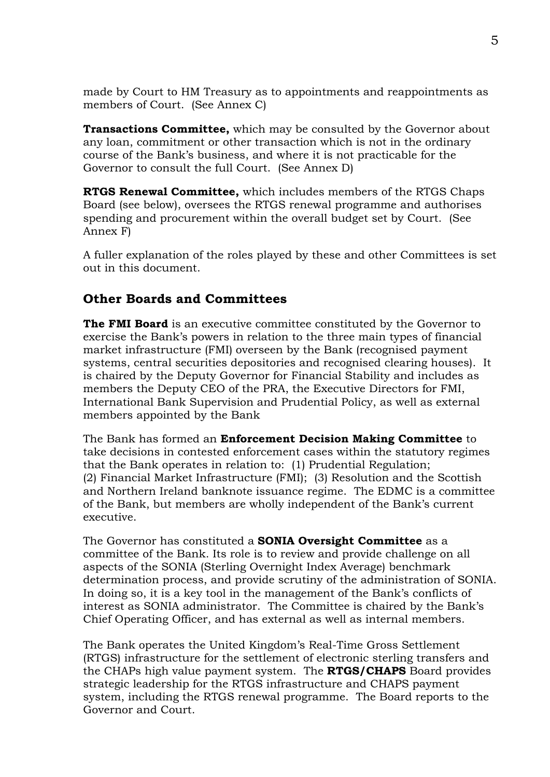made by Court to HM Treasury as to appointments and reappointments as members of Court. (See Annex C)

**Transactions Committee,** which may be consulted by the Governor about any loan, commitment or other transaction which is not in the ordinary course of the Bank's business, and where it is not practicable for the Governor to consult the full Court. (See Annex D)

**RTGS Renewal Committee,** which includes members of the RTGS Chaps Board (see below), oversees the RTGS renewal programme and authorises spending and procurement within the overall budget set by Court. (See Annex F)

A fuller explanation of the roles played by these and other Committees is set out in this document.

## **Other Boards and Committees**

**The FMI Board** is an executive committee constituted by the Governor to exercise the Bank's powers in relation to the three main types of financial market infrastructure (FMI) overseen by the Bank (recognised payment systems, central securities depositories and recognised clearing houses). It is chaired by the Deputy Governor for Financial Stability and includes as members the Deputy CEO of the PRA, the Executive Directors for FMI, International Bank Supervision and Prudential Policy, as well as external members appointed by the Bank

The Bank has formed an **Enforcement Decision Making Committee** to take decisions in contested enforcement cases within the statutory regimes that the Bank operates in relation to: (1) Prudential Regulation; (2) Financial Market Infrastructure (FMI); (3) Resolution and the Scottish and Northern Ireland banknote issuance regime. The EDMC is a committee of the Bank, but members are wholly independent of the Bank's current executive.

The Governor has constituted a **SONIA Oversight Committee** as a committee of the Bank. Its role is to review and provide challenge on all aspects of the SONIA (Sterling Overnight Index Average) benchmark determination process, and provide scrutiny of the administration of SONIA. In doing so, it is a key tool in the management of the Bank's conflicts of interest as SONIA administrator. The Committee is chaired by the Bank's Chief Operating Officer, and has external as well as internal members.

The Bank operates the United Kingdom's Real-Time Gross Settlement (RTGS) infrastructure for the settlement of electronic sterling transfers and the CHAPs high value payment system. The **RTGS/CHAPS** Board provides strategic leadership for the RTGS infrastructure and CHAPS payment system, including the RTGS renewal programme. The Board reports to the Governor and Court.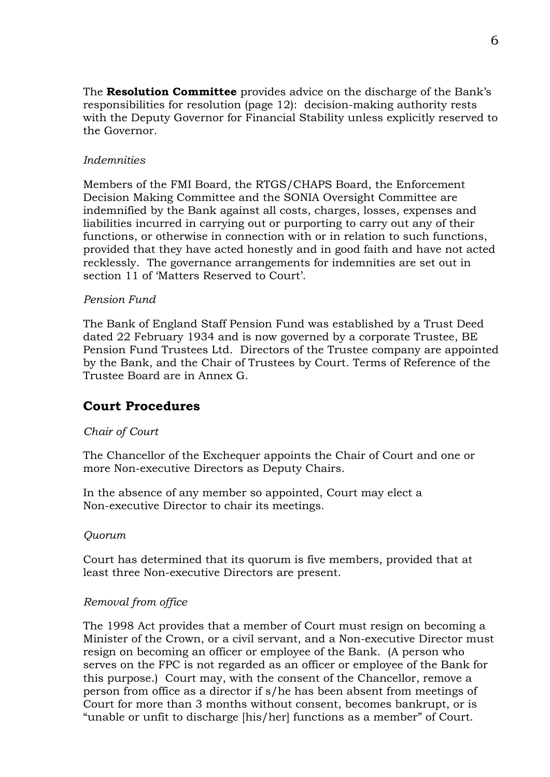The **Resolution Committee** provides advice on the discharge of the Bank's responsibilities for resolution (page 12): decision-making authority rests with the Deputy Governor for Financial Stability unless explicitly reserved to the Governor.

#### *Indemnities*

Members of the FMI Board, the RTGS/CHAPS Board, the Enforcement Decision Making Committee and the SONIA Oversight Committee are indemnified by the Bank against all costs, charges, losses, expenses and liabilities incurred in carrying out or purporting to carry out any of their functions, or otherwise in connection with or in relation to such functions, provided that they have acted honestly and in good faith and have not acted recklessly. The governance arrangements for indemnities are set out in section 11 of 'Matters Reserved to Court'.

#### *Pension Fund*

The Bank of England Staff Pension Fund was established by a Trust Deed dated 22 February 1934 and is now governed by a corporate Trustee, BE Pension Fund Trustees Ltd. Directors of the Trustee company are appointed by the Bank, and the Chair of Trustees by Court. Terms of Reference of the Trustee Board are in Annex G.

#### **Court Procedures**

#### *Chair of Court*

The Chancellor of the Exchequer appoints the Chair of Court and one or more Non-executive Directors as Deputy Chairs.

In the absence of any member so appointed, Court may elect a Non-executive Director to chair its meetings.

#### *Quorum*

Court has determined that its quorum is five members, provided that at least three Non-executive Directors are present.

#### *Removal from office*

The 1998 Act provides that a member of Court must resign on becoming a Minister of the Crown, or a civil servant, and a Non-executive Director must resign on becoming an officer or employee of the Bank. (A person who serves on the FPC is not regarded as an officer or employee of the Bank for this purpose.) Court may, with the consent of the Chancellor, remove a person from office as a director if s/he has been absent from meetings of Court for more than 3 months without consent, becomes bankrupt, or is "unable or unfit to discharge [his/her] functions as a member" of Court.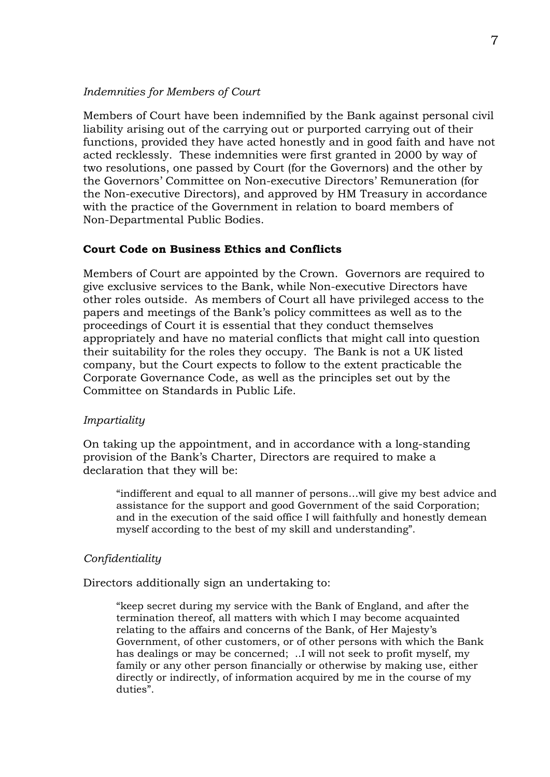#### *Indemnities for Members of Court*

Members of Court have been indemnified by the Bank against personal civil liability arising out of the carrying out or purported carrying out of their functions, provided they have acted honestly and in good faith and have not acted recklessly. These indemnities were first granted in 2000 by way of two resolutions, one passed by Court (for the Governors) and the other by the Governors' Committee on Non-executive Directors' Remuneration (for the Non-executive Directors), and approved by HM Treasury in accordance with the practice of the Government in relation to board members of Non-Departmental Public Bodies.

#### **Court Code on Business Ethics and Conflicts**

Members of Court are appointed by the Crown. Governors are required to give exclusive services to the Bank, while Non-executive Directors have other roles outside. As members of Court all have privileged access to the papers and meetings of the Bank's policy committees as well as to the proceedings of Court it is essential that they conduct themselves appropriately and have no material conflicts that might call into question their suitability for the roles they occupy. The Bank is not a UK listed company, but the Court expects to follow to the extent practicable the Corporate Governance Code, as well as the principles set out by the Committee on Standards in Public Life.

#### *Impartiality*

On taking up the appointment, and in accordance with a long-standing provision of the Bank's Charter, Directors are required to make a declaration that they will be:

"indifferent and equal to all manner of persons…will give my best advice and assistance for the support and good Government of the said Corporation; and in the execution of the said office I will faithfully and honestly demean myself according to the best of my skill and understanding".

#### *Confidentiality*

Directors additionally sign an undertaking to:

"keep secret during my service with the Bank of England, and after the termination thereof, all matters with which I may become acquainted relating to the affairs and concerns of the Bank, of Her Majesty's Government, of other customers, or of other persons with which the Bank has dealings or may be concerned; ..I will not seek to profit myself, my family or any other person financially or otherwise by making use, either directly or indirectly, of information acquired by me in the course of my duties".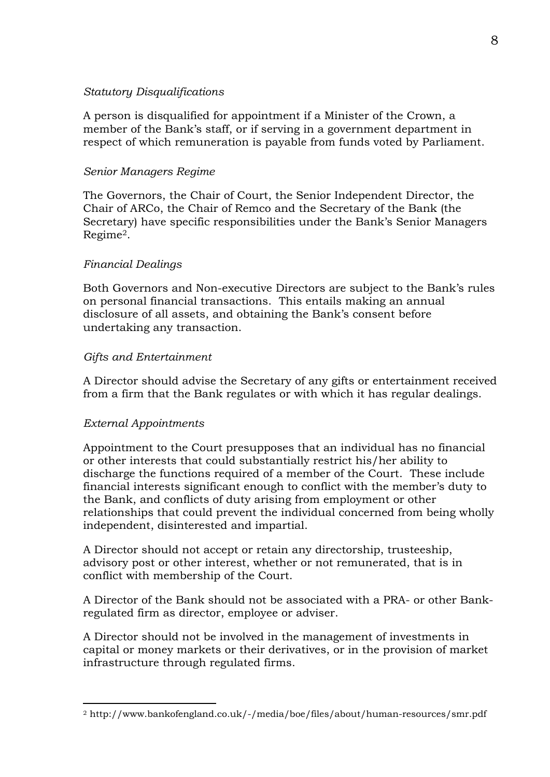#### *Statutory Disqualifications*

A person is disqualified for appointment if a Minister of the Crown, a member of the Bank's staff, or if serving in a government department in respect of which remuneration is payable from funds voted by Parliament.

#### *Senior Managers Regime*

The Governors, the Chair of Court, the Senior Independent Director, the Chair of ARCo, the Chair of Remco and the Secretary of the Bank (the Secretary) have specific responsibilities under the Bank's Senior Managers Regime2.

#### *Financial Dealings*

Both Governors and Non-executive Directors are subject to the Bank's rules on personal financial transactions. This entails making an annual disclosure of all assets, and obtaining the Bank's consent before undertaking any transaction.

#### *Gifts and Entertainment*

A Director should advise the Secretary of any gifts or entertainment received from a firm that the Bank regulates or with which it has regular dealings.

#### *External Appointments*

<u>.</u>

Appointment to the Court presupposes that an individual has no financial or other interests that could substantially restrict his/her ability to discharge the functions required of a member of the Court. These include financial interests significant enough to conflict with the member's duty to the Bank, and conflicts of duty arising from employment or other relationships that could prevent the individual concerned from being wholly independent, disinterested and impartial.

A Director should not accept or retain any directorship, trusteeship, advisory post or other interest, whether or not remunerated, that is in conflict with membership of the Court.

A Director of the Bank should not be associated with a PRA- or other Bankregulated firm as director, employee or adviser.

A Director should not be involved in the management of investments in capital or money markets or their derivatives, or in the provision of market infrastructure through regulated firms.

<sup>2</sup> http://www.bankofengland.co.uk/-/media/boe/files/about/human-resources/smr.pdf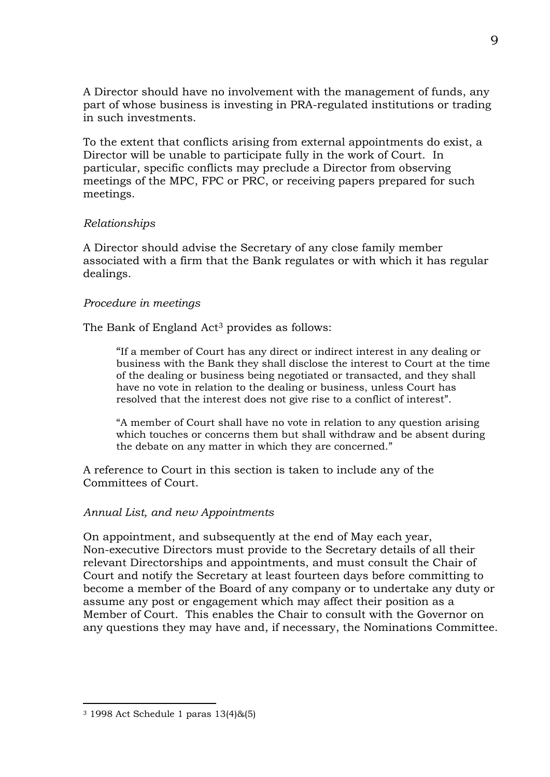A Director should have no involvement with the management of funds, any part of whose business is investing in PRA-regulated institutions or trading in such investments.

To the extent that conflicts arising from external appointments do exist, a Director will be unable to participate fully in the work of Court. In particular, specific conflicts may preclude a Director from observing meetings of the MPC, FPC or PRC, or receiving papers prepared for such meetings.

#### *Relationships*

A Director should advise the Secretary of any close family member associated with a firm that the Bank regulates or with which it has regular dealings.

#### *Procedure in meetings*

The Bank of England Act<sup>3</sup> provides as follows:

"If a member of Court has any direct or indirect interest in any dealing or business with the Bank they shall disclose the interest to Court at the time of the dealing or business being negotiated or transacted, and they shall have no vote in relation to the dealing or business, unless Court has resolved that the interest does not give rise to a conflict of interest".

"A member of Court shall have no vote in relation to any question arising which touches or concerns them but shall withdraw and be absent during the debate on any matter in which they are concerned."

A reference to Court in this section is taken to include any of the Committees of Court.

#### *Annual List, and new Appointments*

On appointment, and subsequently at the end of May each year, Non-executive Directors must provide to the Secretary details of all their relevant Directorships and appointments, and must consult the Chair of Court and notify the Secretary at least fourteen days before committing to become a member of the Board of any company or to undertake any duty or assume any post or engagement which may affect their position as a Member of Court. This enables the Chair to consult with the Governor on any questions they may have and, if necessary, the Nominations Committee.

<u>.</u>

<sup>3 1998</sup> Act Schedule 1 paras 13(4)&(5)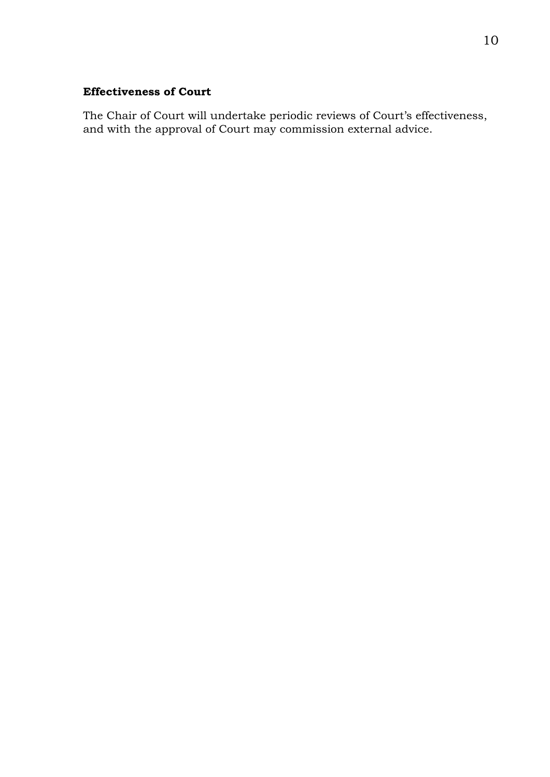### **Effectiveness of Court**

The Chair of Court will undertake periodic reviews of Court's effectiveness, and with the approval of Court may commission external advice.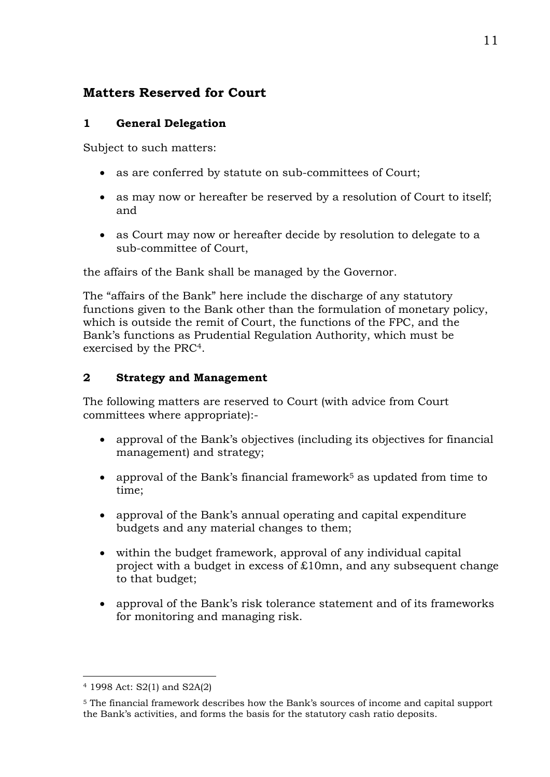## **Matters Reserved for Court**

### **1 General Delegation**

Subject to such matters:

- as are conferred by statute on sub-committees of Court;
- as may now or hereafter be reserved by a resolution of Court to itself: and
- as Court may now or hereafter decide by resolution to delegate to a sub-committee of Court,

the affairs of the Bank shall be managed by the Governor.

The "affairs of the Bank" here include the discharge of any statutory functions given to the Bank other than the formulation of monetary policy, which is outside the remit of Court, the functions of the FPC, and the Bank's functions as Prudential Regulation Authority, which must be exercised by the PRC4.

### **2 Strategy and Management**

The following matters are reserved to Court (with advice from Court committees where appropriate):-

- approval of the Bank's objectives (including its objectives for financial management) and strategy;
- approval of the Bank's financial framework<sup>5</sup> as updated from time to time;
- approval of the Bank's annual operating and capital expenditure budgets and any material changes to them;
- within the budget framework, approval of any individual capital project with a budget in excess of £10mn, and any subsequent change to that budget;
- approval of the Bank's risk tolerance statement and of its frameworks for monitoring and managing risk.

<sup>1</sup> 4 1998 Act: S2(1) and S2A(2)

<sup>5</sup> The financial framework describes how the Bank's sources of income and capital support the Bank's activities, and forms the basis for the statutory cash ratio deposits.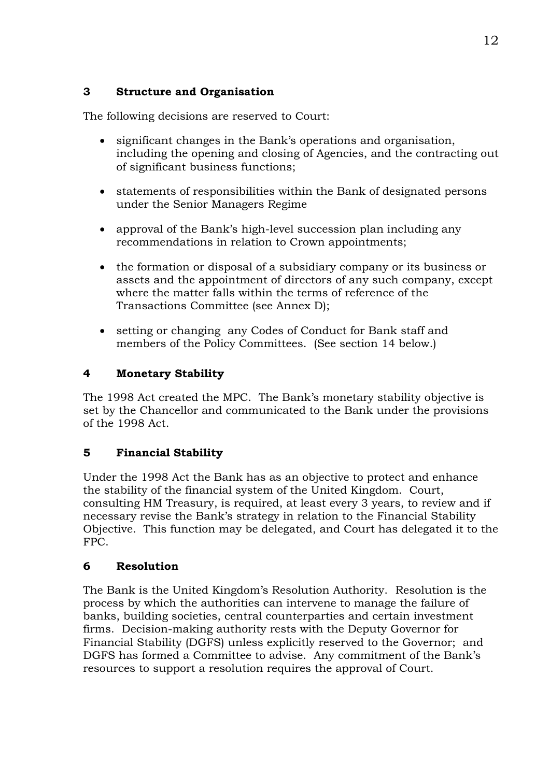### **3 Structure and Organisation**

The following decisions are reserved to Court:

- significant changes in the Bank's operations and organisation, including the opening and closing of Agencies, and the contracting out of significant business functions;
- statements of responsibilities within the Bank of designated persons under the Senior Managers Regime
- approval of the Bank's high-level succession plan including any recommendations in relation to Crown appointments;
- the formation or disposal of a subsidiary company or its business or assets and the appointment of directors of any such company, except where the matter falls within the terms of reference of the Transactions Committee (see Annex D);
- setting or changing any Codes of Conduct for Bank staff and members of the Policy Committees. (See section 14 below.)

## **4 Monetary Stability**

The 1998 Act created the MPC. The Bank's monetary stability objective is set by the Chancellor and communicated to the Bank under the provisions of the 1998 Act.

### **5 Financial Stability**

Under the 1998 Act the Bank has as an objective to protect and enhance the stability of the financial system of the United Kingdom. Court, consulting HM Treasury, is required, at least every 3 years, to review and if necessary revise the Bank's strategy in relation to the Financial Stability Objective. This function may be delegated, and Court has delegated it to the FPC.

#### **6 Resolution**

The Bank is the United Kingdom's Resolution Authority.Resolution is the process by which the authorities can intervene to manage the failure of banks, building societies, central counterparties and certain investment firms. Decision-making authority rests with the Deputy Governor for Financial Stability (DGFS) unless explicitly reserved to the Governor; and DGFS has formed a Committee to advise. Any commitment of the Bank's resources to support a resolution requires the approval of Court.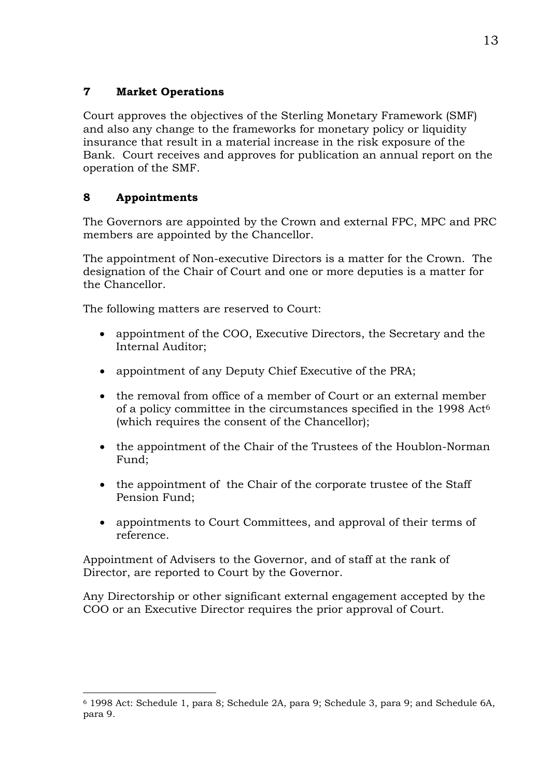### **7 Market Operations**

Court approves the objectives of the Sterling Monetary Framework (SMF) and also any change to the frameworks for monetary policy or liquidity insurance that result in a material increase in the risk exposure of the Bank. Court receives and approves for publication an annual report on the operation of the SMF.

### **8 Appointments**

1

The Governors are appointed by the Crown and external FPC, MPC and PRC members are appointed by the Chancellor.

The appointment of Non-executive Directors is a matter for the Crown. The designation of the Chair of Court and one or more deputies is a matter for the Chancellor.

The following matters are reserved to Court:

- appointment of the COO, Executive Directors, the Secretary and the Internal Auditor;
- appointment of any Deputy Chief Executive of the PRA;
- the removal from office of a member of Court or an external member of a policy committee in the circumstances specified in the 1998 Act6 (which requires the consent of the Chancellor);
- the appointment of the Chair of the Trustees of the Houblon-Norman Fund;
- the appointment of the Chair of the corporate trustee of the Staff Pension Fund;
- appointments to Court Committees, and approval of their terms of reference.

Appointment of Advisers to the Governor, and of staff at the rank of Director, are reported to Court by the Governor.

Any Directorship or other significant external engagement accepted by the COO or an Executive Director requires the prior approval of Court.

<sup>6 1998</sup> Act: Schedule 1, para 8; Schedule 2A, para 9; Schedule 3, para 9; and Schedule 6A, para 9.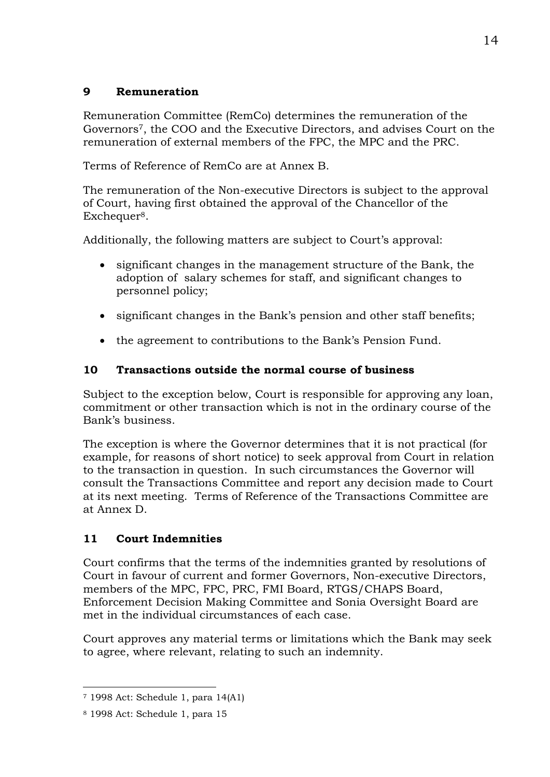### **9 Remuneration**

Remuneration Committee (RemCo) determines the remuneration of the Governors7, the COO and the Executive Directors, and advises Court on the remuneration of external members of the FPC, the MPC and the PRC.

Terms of Reference of RemCo are at Annex B.

The remuneration of the Non-executive Directors is subject to the approval of Court, having first obtained the approval of the Chancellor of the Exchequer<sup>8</sup>.

Additionally, the following matters are subject to Court's approval:

- significant changes in the management structure of the Bank, the adoption of salary schemes for staff, and significant changes to personnel policy;
- significant changes in the Bank's pension and other staff benefits;
- the agreement to contributions to the Bank's Pension Fund.

## **10 Transactions outside the normal course of business**

Subject to the exception below, Court is responsible for approving any loan, commitment or other transaction which is not in the ordinary course of the Bank's business.

The exception is where the Governor determines that it is not practical (for example, for reasons of short notice) to seek approval from Court in relation to the transaction in question. In such circumstances the Governor will consult the Transactions Committee and report any decision made to Court at its next meeting. Terms of Reference of the Transactions Committee are at Annex D.

## **11 Court Indemnities**

Court confirms that the terms of the indemnities granted by resolutions of Court in favour of current and former Governors, Non-executive Directors, members of the MPC, FPC, PRC, FMI Board, RTGS/CHAPS Board, Enforcement Decision Making Committee and Sonia Oversight Board are met in the individual circumstances of each case.

Court approves any material terms or limitations which the Bank may seek to agree, where relevant, relating to such an indemnity.

<sup>1</sup> 7 1998 Act: Schedule 1, para 14(A1)

<sup>8 1998</sup> Act: Schedule 1, para 15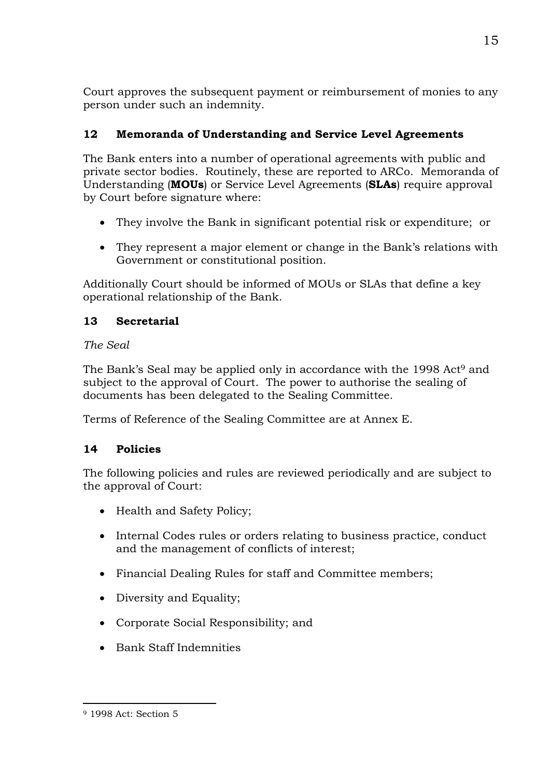Court approves the subsequent payment or reimbursement of monies to any person under such an indemnity.

## **12 Memoranda of Understanding and Service Level Agreements**

The Bank enters into a number of operational agreements with public and private sector bodies. Routinely, these are reported to ARCo. Memoranda of Understanding (**MOUs**) or Service Level Agreements (**SLAs**) require approval by Court before signature where:

- They involve the Bank in significant potential risk or expenditure; or
- They represent a major element or change in the Bank's relations with Government or constitutional position.

Additionally Court should be informed of MOUs or SLAs that define a key operational relationship of the Bank.

## **13 Secretarial**

## *The Seal*

The Bank's Seal may be applied only in accordance with the 1998 Act<sup>9</sup> and subject to the approval of Court. The power to authorise the sealing of documents has been delegated to the Sealing Committee.

Terms of Reference of the Sealing Committee are at Annex E.

## **14 Policies**

The following policies and rules are reviewed periodically and are subject to the approval of Court:

- Health and Safety Policy;
- Internal Codes rules or orders relating to business practice, conduct and the management of conflicts of interest;
- Financial Dealing Rules for staff and Committee members;
- Diversity and Equality;
- Corporate Social Responsibility; and
- Bank Staff Indemnities

<sup>&</sup>lt;u>.</u> 9 1998 Act: Section 5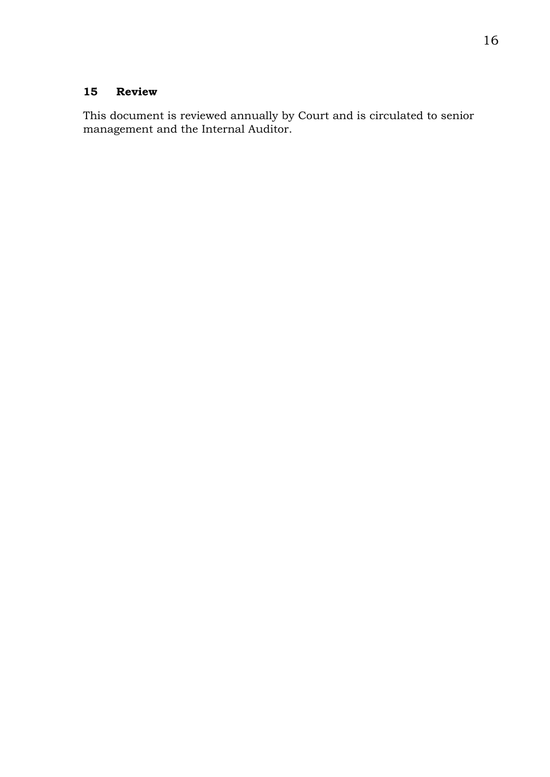#### **15 Review**

This document is reviewed annually by Court and is circulated to senior management and the Internal Auditor.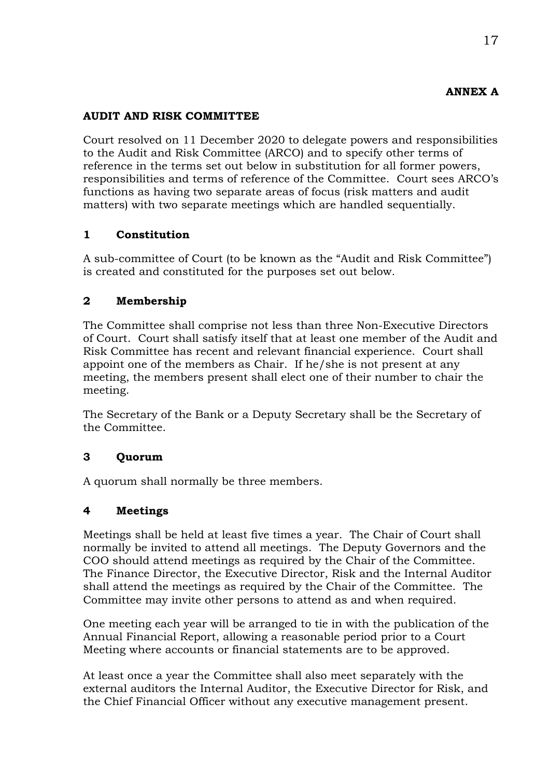#### **ANNEX A**

#### **AUDIT AND RISK COMMITTEE**

Court resolved on 11 December 2020 to delegate powers and responsibilities to the Audit and Risk Committee (ARCO) and to specify other terms of reference in the terms set out below in substitution for all former powers, responsibilities and terms of reference of the Committee. Court sees ARCO's functions as having two separate areas of focus (risk matters and audit matters) with two separate meetings which are handled sequentially.

### **1 Constitution**

A sub-committee of Court (to be known as the "Audit and Risk Committee") is created and constituted for the purposes set out below.

### **2 Membership**

The Committee shall comprise not less than three Non-Executive Directors of Court. Court shall satisfy itself that at least one member of the Audit and Risk Committee has recent and relevant financial experience. Court shall appoint one of the members as Chair. If he/she is not present at any meeting, the members present shall elect one of their number to chair the meeting.

The Secretary of the Bank or a Deputy Secretary shall be the Secretary of the Committee.

#### **3 Quorum**

A quorum shall normally be three members.

#### **4 Meetings**

Meetings shall be held at least five times a year. The Chair of Court shall normally be invited to attend all meetings. The Deputy Governors and the COO should attend meetings as required by the Chair of the Committee. The Finance Director, the Executive Director, Risk and the Internal Auditor shall attend the meetings as required by the Chair of the Committee. The Committee may invite other persons to attend as and when required.

One meeting each year will be arranged to tie in with the publication of the Annual Financial Report, allowing a reasonable period prior to a Court Meeting where accounts or financial statements are to be approved.

At least once a year the Committee shall also meet separately with the external auditors the Internal Auditor, the Executive Director for Risk, and the Chief Financial Officer without any executive management present.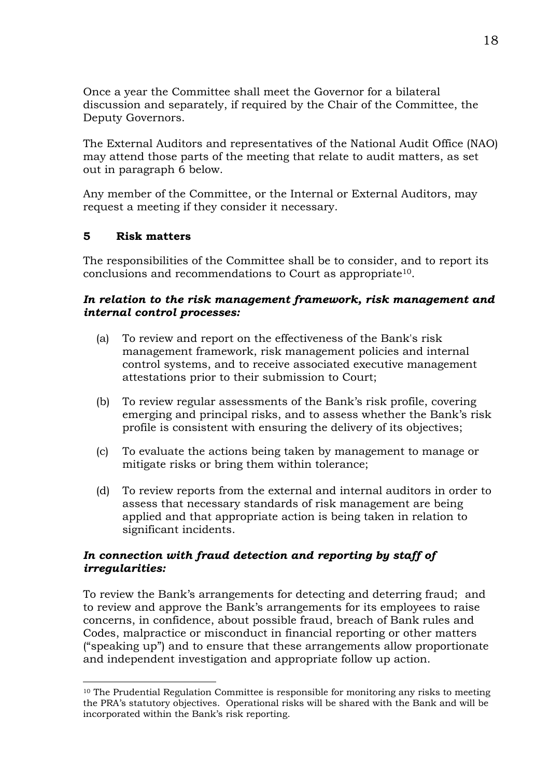Once a year the Committee shall meet the Governor for a bilateral discussion and separately, if required by the Chair of the Committee, the Deputy Governors.

The External Auditors and representatives of the National Audit Office (NAO) may attend those parts of the meeting that relate to audit matters, as set out in paragraph 6 below.

Any member of the Committee, or the Internal or External Auditors, may request a meeting if they consider it necessary.

#### **5 Risk matters**

1

The responsibilities of the Committee shall be to consider, and to report its conclusions and recommendations to Court as appropriate10.

#### *In relation to the risk management framework, risk management and internal control processes:*

- (a) To review and report on the effectiveness of the Bank's risk management framework, risk management policies and internal control systems, and to receive associated executive management attestations prior to their submission to Court;
- (b) To review regular assessments of the Bank's risk profile, covering emerging and principal risks, and to assess whether the Bank's risk profile is consistent with ensuring the delivery of its objectives;
- (c) To evaluate the actions being taken by management to manage or mitigate risks or bring them within tolerance;
- (d) To review reports from the external and internal auditors in order to assess that necessary standards of risk management are being applied and that appropriate action is being taken in relation to significant incidents.

#### *In connection with fraud detection and reporting by staff of irregularities:*

To review the Bank's arrangements for detecting and deterring fraud; and to review and approve the Bank's arrangements for its employees to raise concerns, in confidence, about possible fraud, breach of Bank rules and Codes, malpractice or misconduct in financial reporting or other matters ("speaking up") and to ensure that these arrangements allow proportionate and independent investigation and appropriate follow up action.

<sup>&</sup>lt;sup>10</sup> The Prudential Regulation Committee is responsible for monitoring any risks to meeting the PRA's statutory objectives. Operational risks will be shared with the Bank and will be incorporated within the Bank's risk reporting.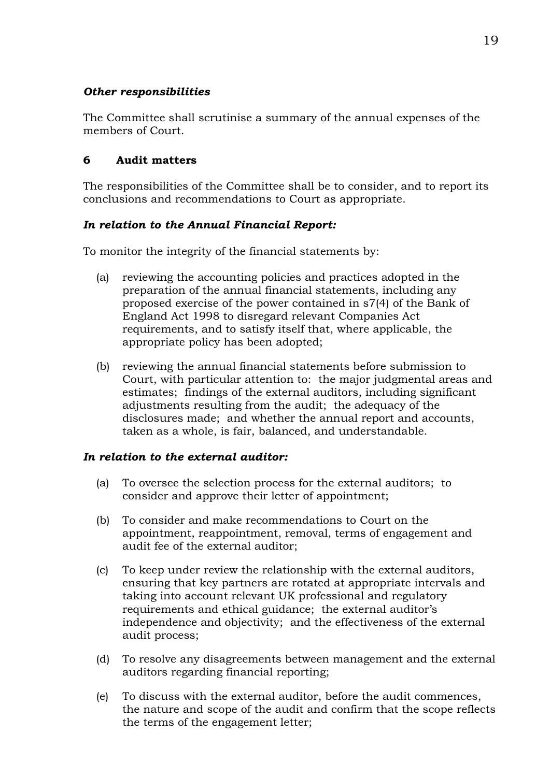#### *Other responsibilities*

The Committee shall scrutinise a summary of the annual expenses of the members of Court.

### **6 Audit matters**

The responsibilities of the Committee shall be to consider, and to report its conclusions and recommendations to Court as appropriate.

#### *In relation to the Annual Financial Report:*

To monitor the integrity of the financial statements by:

- (a) reviewing the accounting policies and practices adopted in the preparation of the annual financial statements, including any proposed exercise of the power contained in s7(4) of the Bank of England Act 1998 to disregard relevant Companies Act requirements, and to satisfy itself that, where applicable, the appropriate policy has been adopted;
- (b) reviewing the annual financial statements before submission to Court, with particular attention to: the major judgmental areas and estimates; findings of the external auditors, including significant adjustments resulting from the audit; the adequacy of the disclosures made; and whether the annual report and accounts, taken as a whole, is fair, balanced, and understandable.

#### *In relation to the external auditor:*

- (a) To oversee the selection process for the external auditors; to consider and approve their letter of appointment;
- (b) To consider and make recommendations to Court on the appointment, reappointment, removal, terms of engagement and audit fee of the external auditor;
- (c) To keep under review the relationship with the external auditors, ensuring that key partners are rotated at appropriate intervals and taking into account relevant UK professional and regulatory requirements and ethical guidance; the external auditor's independence and objectivity; and the effectiveness of the external audit process;
- (d) To resolve any disagreements between management and the external auditors regarding financial reporting;
- (e) To discuss with the external auditor, before the audit commences, the nature and scope of the audit and confirm that the scope reflects the terms of the engagement letter;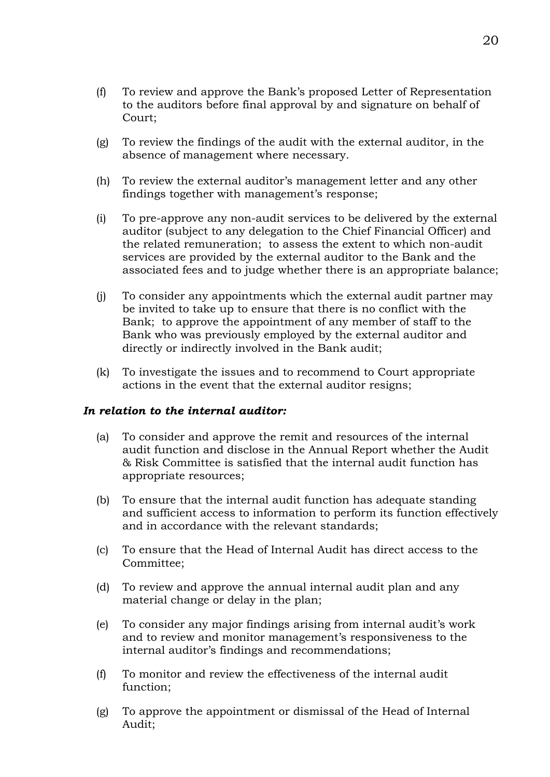- (g) To review the findings of the audit with the external auditor, in the absence of management where necessary.
- (h) To review the external auditor's management letter and any other findings together with management's response;
- (i) To pre-approve any non-audit services to be delivered by the external auditor (subject to any delegation to the Chief Financial Officer) and the related remuneration; to assess the extent to which non-audit services are provided by the external auditor to the Bank and the associated fees and to judge whether there is an appropriate balance;
- (j) To consider any appointments which the external audit partner may be invited to take up to ensure that there is no conflict with the Bank; to approve the appointment of any member of staff to the Bank who was previously employed by the external auditor and directly or indirectly involved in the Bank audit;
- (k) To investigate the issues and to recommend to Court appropriate actions in the event that the external auditor resigns;

#### *In relation to the internal auditor:*

- (a) To consider and approve the remit and resources of the internal audit function and disclose in the Annual Report whether the Audit & Risk Committee is satisfied that the internal audit function has appropriate resources;
- (b) To ensure that the internal audit function has adequate standing and sufficient access to information to perform its function effectively and in accordance with the relevant standards;
- (c) To ensure that the Head of Internal Audit has direct access to the Committee;
- (d) To review and approve the annual internal audit plan and any material change or delay in the plan;
- (e) To consider any major findings arising from internal audit's work and to review and monitor management's responsiveness to the internal auditor's findings and recommendations;
- (f) To monitor and review the effectiveness of the internal audit function;
- (g) To approve the appointment or dismissal of the Head of Internal Audit;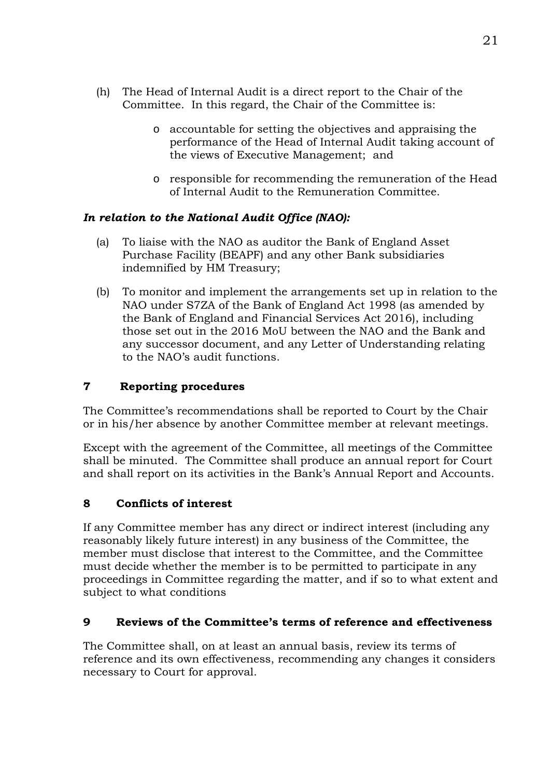- (h) The Head of Internal Audit is a direct report to the Chair of the Committee. In this regard, the Chair of the Committee is:
	- o accountable for setting the objectives and appraising the performance of the Head of Internal Audit taking account of the views of Executive Management; and
	- o responsible for recommending the remuneration of the Head of Internal Audit to the Remuneration Committee.

#### *In relation to the National Audit Office (NAO):*

- (a) To liaise with the NAO as auditor the Bank of England Asset Purchase Facility (BEAPF) and any other Bank subsidiaries indemnified by HM Treasury;
- (b) To monitor and implement the arrangements set up in relation to the NAO under S7ZA of the Bank of England Act 1998 (as amended by the Bank of England and Financial Services Act 2016), including those set out in the 2016 MoU between the NAO and the Bank and any successor document, and any Letter of Understanding relating to the NAO's audit functions.

### **7 Reporting procedures**

The Committee's recommendations shall be reported to Court by the Chair or in his/her absence by another Committee member at relevant meetings.

Except with the agreement of the Committee, all meetings of the Committee shall be minuted. The Committee shall produce an annual report for Court and shall report on its activities in the Bank's Annual Report and Accounts.

#### **8 Conflicts of interest**

If any Committee member has any direct or indirect interest (including any reasonably likely future interest) in any business of the Committee, the member must disclose that interest to the Committee, and the Committee must decide whether the member is to be permitted to participate in any proceedings in Committee regarding the matter, and if so to what extent and subject to what conditions

#### **9 Reviews of the Committee's terms of reference and effectiveness**

The Committee shall, on at least an annual basis, review its terms of reference and its own effectiveness, recommending any changes it considers necessary to Court for approval.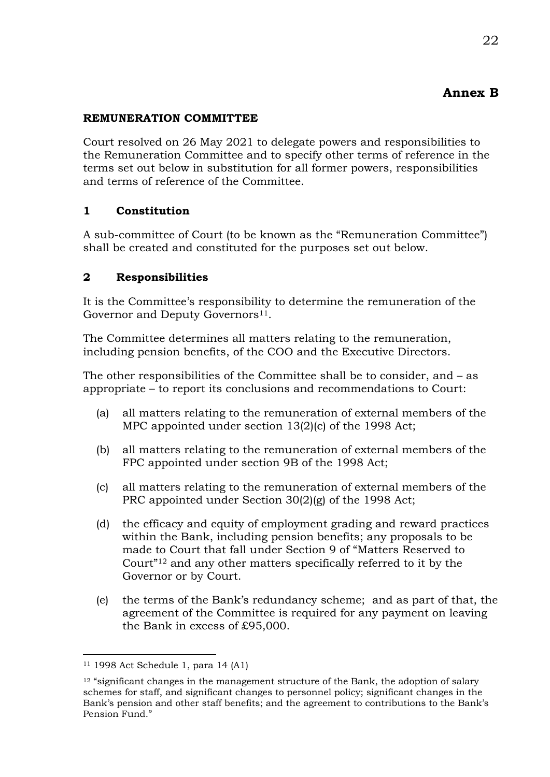## **Annex B**

#### **REMUNERATION COMMITTEE**

Court resolved on 26 May 2021 to delegate powers and responsibilities to the Remuneration Committee and to specify other terms of reference in the terms set out below in substitution for all former powers, responsibilities and terms of reference of the Committee.

### **1 Constitution**

A sub-committee of Court (to be known as the "Remuneration Committee") shall be created and constituted for the purposes set out below.

### **2 Responsibilities**

It is the Committee's responsibility to determine the remuneration of the Governor and Deputy Governors<sup>11</sup>.

The Committee determines all matters relating to the remuneration, including pension benefits, of the COO and the Executive Directors.

The other responsibilities of the Committee shall be to consider, and – as appropriate – to report its conclusions and recommendations to Court:

- (a) all matters relating to the remuneration of external members of the MPC appointed under section 13(2)(c) of the 1998 Act;
- (b) all matters relating to the remuneration of external members of the FPC appointed under section 9B of the 1998 Act;
- (c) all matters relating to the remuneration of external members of the PRC appointed under Section 30(2)(g) of the 1998 Act;
- (d) the efficacy and equity of employment grading and reward practices within the Bank, including pension benefits; any proposals to be made to Court that fall under Section 9 of "Matters Reserved to Court"12 and any other matters specifically referred to it by the Governor or by Court.
- (e) the terms of the Bank's redundancy scheme; and as part of that, the agreement of the Committee is required for any payment on leaving the Bank in excess of £95,000.

1

<sup>11 1998</sup> Act Schedule 1, para 14 (A1)

 $12$  "significant changes in the management structure of the Bank, the adoption of salary schemes for staff, and significant changes to personnel policy; significant changes in the Bank's pension and other staff benefits; and the agreement to contributions to the Bank's Pension Fund."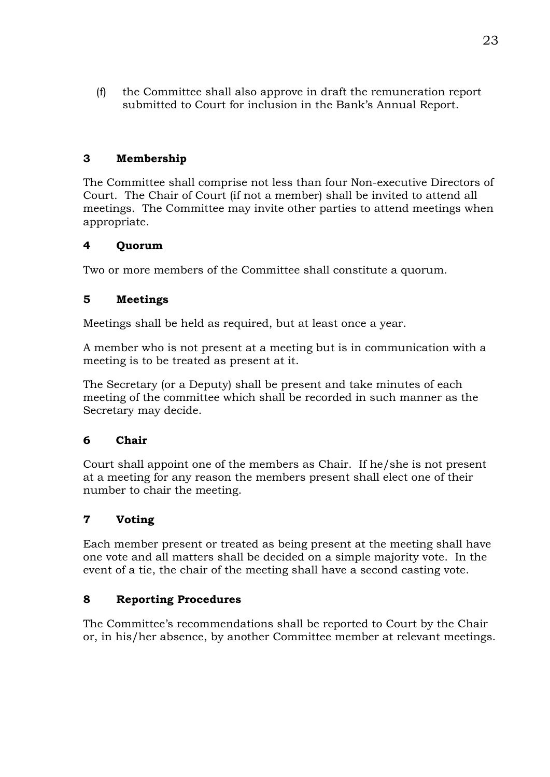(f) the Committee shall also approve in draft the remuneration report submitted to Court for inclusion in the Bank's Annual Report.

### **3 Membership**

The Committee shall comprise not less than four Non-executive Directors of Court. The Chair of Court (if not a member) shall be invited to attend all meetings. The Committee may invite other parties to attend meetings when appropriate.

### **4 Quorum**

Two or more members of the Committee shall constitute a quorum.

## **5 Meetings**

Meetings shall be held as required, but at least once a year.

A member who is not present at a meeting but is in communication with a meeting is to be treated as present at it.

The Secretary (or a Deputy) shall be present and take minutes of each meeting of the committee which shall be recorded in such manner as the Secretary may decide.

### **6 Chair**

Court shall appoint one of the members as Chair. If he/she is not present at a meeting for any reason the members present shall elect one of their number to chair the meeting.

## **7 Voting**

Each member present or treated as being present at the meeting shall have one vote and all matters shall be decided on a simple majority vote. In the event of a tie, the chair of the meeting shall have a second casting vote.

### **8 Reporting Procedures**

The Committee's recommendations shall be reported to Court by the Chair or, in his/her absence, by another Committee member at relevant meetings.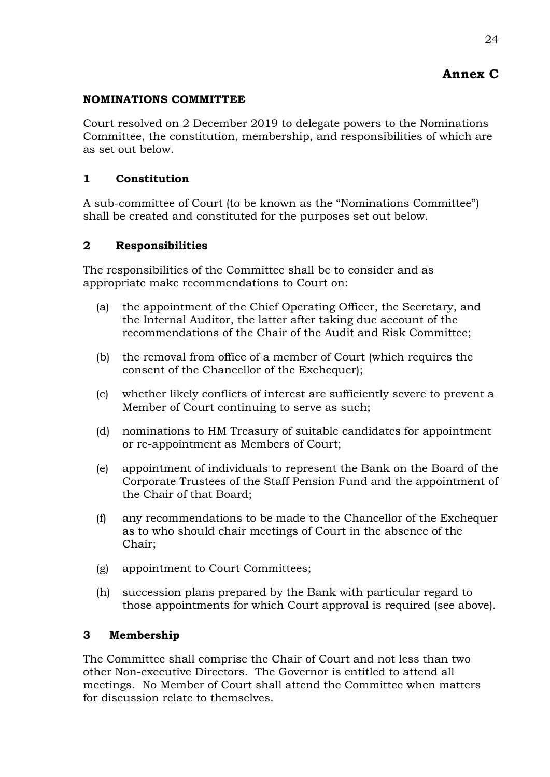# **Annex C**

### **NOMINATIONS COMMITTEE**

Court resolved on 2 December 2019 to delegate powers to the Nominations Committee, the constitution, membership, and responsibilities of which are as set out below.

### **1 Constitution**

A sub-committee of Court (to be known as the "Nominations Committee") shall be created and constituted for the purposes set out below.

## **2 Responsibilities**

The responsibilities of the Committee shall be to consider and as appropriate make recommendations to Court on:

- (a) the appointment of the Chief Operating Officer, the Secretary, and the Internal Auditor, the latter after taking due account of the recommendations of the Chair of the Audit and Risk Committee;
- (b) the removal from office of a member of Court (which requires the consent of the Chancellor of the Exchequer);
- (c) whether likely conflicts of interest are sufficiently severe to prevent a Member of Court continuing to serve as such;
- (d) nominations to HM Treasury of suitable candidates for appointment or re-appointment as Members of Court;
- (e) appointment of individuals to represent the Bank on the Board of the Corporate Trustees of the Staff Pension Fund and the appointment of the Chair of that Board;
- (f) any recommendations to be made to the Chancellor of the Exchequer as to who should chair meetings of Court in the absence of the Chair;
- (g) appointment to Court Committees;
- (h) succession plans prepared by the Bank with particular regard to those appointments for which Court approval is required (see above).

### **3 Membership**

The Committee shall comprise the Chair of Court and not less than two other Non-executive Directors. The Governor is entitled to attend all meetings. No Member of Court shall attend the Committee when matters for discussion relate to themselves.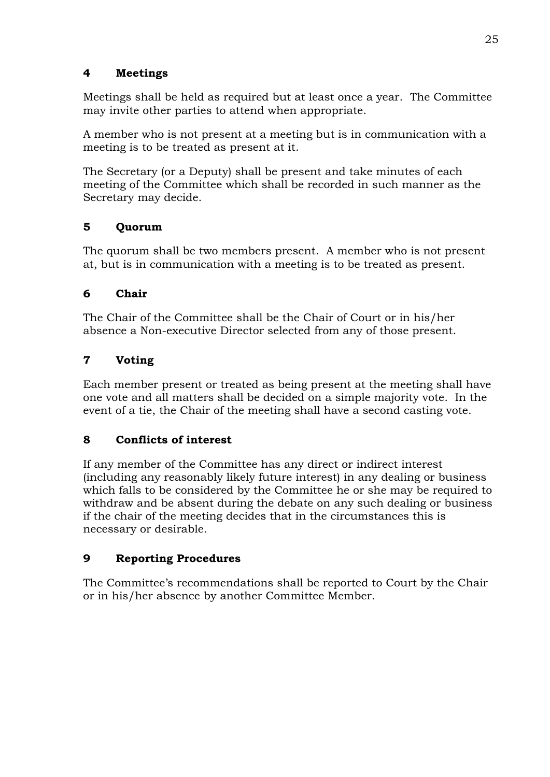### **4 Meetings**

Meetings shall be held as required but at least once a year. The Committee may invite other parties to attend when appropriate.

A member who is not present at a meeting but is in communication with a meeting is to be treated as present at it.

The Secretary (or a Deputy) shall be present and take minutes of each meeting of the Committee which shall be recorded in such manner as the Secretary may decide.

## **5 Quorum**

The quorum shall be two members present. A member who is not present at, but is in communication with a meeting is to be treated as present.

### **6 Chair**

The Chair of the Committee shall be the Chair of Court or in his/her absence a Non-executive Director selected from any of those present.

## **7 Voting**

Each member present or treated as being present at the meeting shall have one vote and all matters shall be decided on a simple majority vote. In the event of a tie, the Chair of the meeting shall have a second casting vote.

#### **8 Conflicts of interest**

If any member of the Committee has any direct or indirect interest (including any reasonably likely future interest) in any dealing or business which falls to be considered by the Committee he or she may be required to withdraw and be absent during the debate on any such dealing or business if the chair of the meeting decides that in the circumstances this is necessary or desirable.

### **9 Reporting Procedures**

The Committee's recommendations shall be reported to Court by the Chair or in his/her absence by another Committee Member.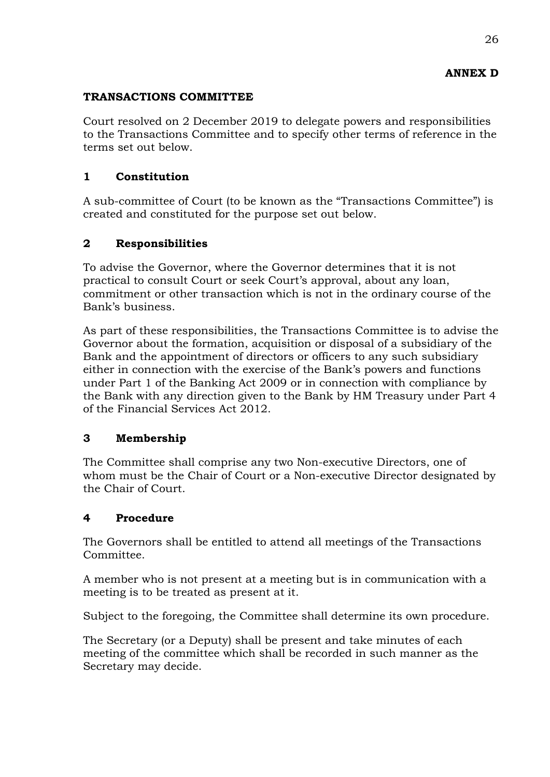## **ANNEX D**

### **TRANSACTIONS COMMITTEE**

Court resolved on 2 December 2019 to delegate powers and responsibilities to the Transactions Committee and to specify other terms of reference in the terms set out below.

### **1 Constitution**

A sub-committee of Court (to be known as the "Transactions Committee") is created and constituted for the purpose set out below.

### **2 Responsibilities**

To advise the Governor, where the Governor determines that it is not practical to consult Court or seek Court's approval, about any loan, commitment or other transaction which is not in the ordinary course of the Bank's business.

As part of these responsibilities, the Transactions Committee is to advise the Governor about the formation, acquisition or disposal of a subsidiary of the Bank and the appointment of directors or officers to any such subsidiary either in connection with the exercise of the Bank's powers and functions under Part 1 of the Banking Act 2009 or in connection with compliance by the Bank with any direction given to the Bank by HM Treasury under Part 4 of the Financial Services Act 2012.

#### **3 Membership**

The Committee shall comprise any two Non-executive Directors, one of whom must be the Chair of Court or a Non-executive Director designated by the Chair of Court.

### **4 Procedure**

The Governors shall be entitled to attend all meetings of the Transactions Committee.

A member who is not present at a meeting but is in communication with a meeting is to be treated as present at it.

Subject to the foregoing, the Committee shall determine its own procedure.

The Secretary (or a Deputy) shall be present and take minutes of each meeting of the committee which shall be recorded in such manner as the Secretary may decide.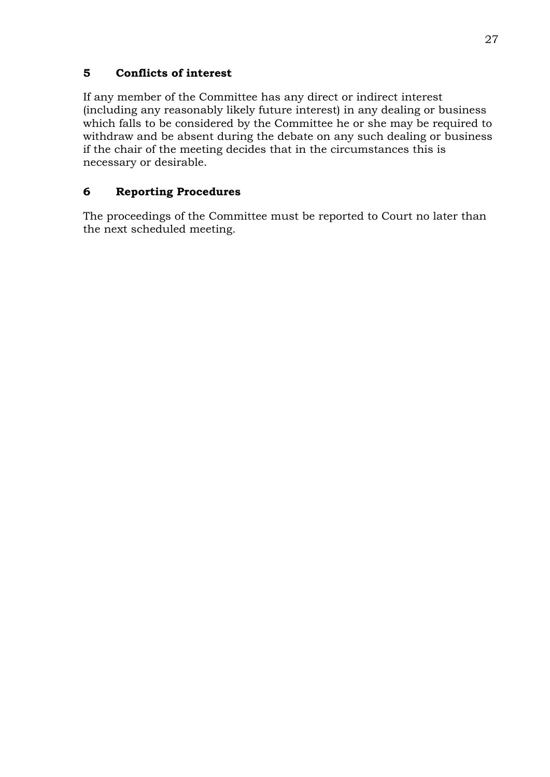### **5 Conflicts of interest**

If any member of the Committee has any direct or indirect interest (including any reasonably likely future interest) in any dealing or business which falls to be considered by the Committee he or she may be required to withdraw and be absent during the debate on any such dealing or business if the chair of the meeting decides that in the circumstances this is necessary or desirable.

### **6 Reporting Procedures**

The proceedings of the Committee must be reported to Court no later than the next scheduled meeting.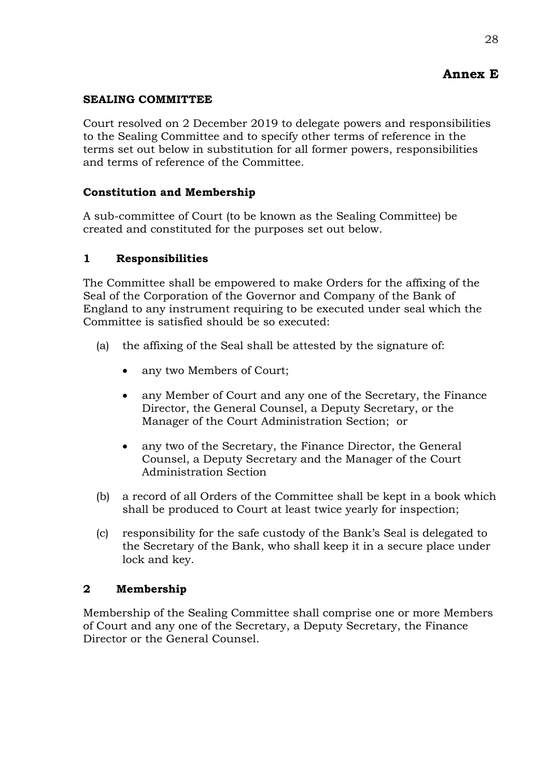28

#### **SEALING COMMITTEE**

Court resolved on 2 December 2019 to delegate powers and responsibilities to the Sealing Committee and to specify other terms of reference in the terms set out below in substitution for all former powers, responsibilities and terms of reference of the Committee.

#### **Constitution and Membership**

A sub-committee of Court (to be known as the Sealing Committee) be created and constituted for the purposes set out below.

#### **1 Responsibilities**

The Committee shall be empowered to make Orders for the affixing of the Seal of the Corporation of the Governor and Company of the Bank of England to any instrument requiring to be executed under seal which the Committee is satisfied should be so executed:

- (a) the affixing of the Seal shall be attested by the signature of:
	- any two Members of Court;
	- any Member of Court and any one of the Secretary, the Finance Director, the General Counsel, a Deputy Secretary, or the Manager of the Court Administration Section; or
	- any two of the Secretary, the Finance Director, the General Counsel, a Deputy Secretary and the Manager of the Court Administration Section
- (b) a record of all Orders of the Committee shall be kept in a book which shall be produced to Court at least twice yearly for inspection;
- (c) responsibility for the safe custody of the Bank's Seal is delegated to the Secretary of the Bank, who shall keep it in a secure place under lock and key.

#### **2 Membership**

Membership of the Sealing Committee shall comprise one or more Members of Court and any one of the Secretary, a Deputy Secretary, the Finance Director or the General Counsel.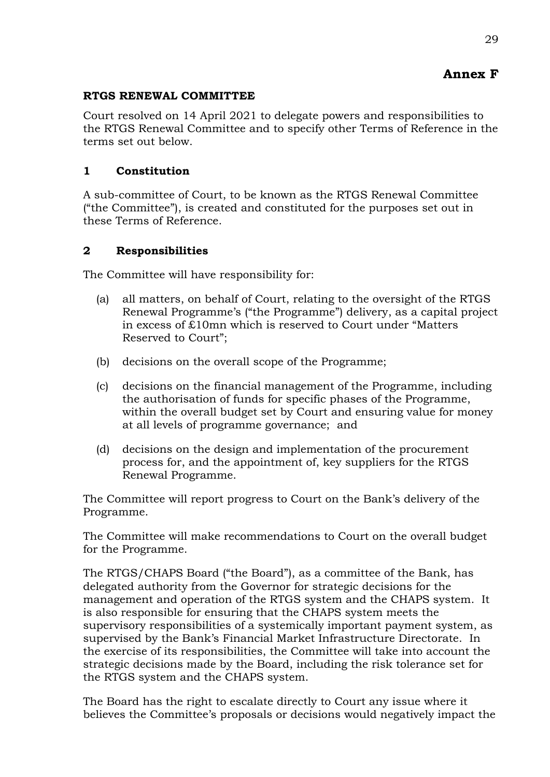# **Annex F**

#### **RTGS RENEWAL COMMITTEE**

Court resolved on 14 April 2021 to delegate powers and responsibilities to the RTGS Renewal Committee and to specify other Terms of Reference in the terms set out below.

### **1 Constitution**

A sub-committee of Court, to be known as the RTGS Renewal Committee ("the Committee"), is created and constituted for the purposes set out in these Terms of Reference.

### **2 Responsibilities**

The Committee will have responsibility for:

- (a) all matters, on behalf of Court, relating to the oversight of the RTGS Renewal Programme's ("the Programme") delivery, as a capital project in excess of £10mn which is reserved to Court under "Matters Reserved to Court";
- (b) decisions on the overall scope of the Programme;
- (c) decisions on the financial management of the Programme, including the authorisation of funds for specific phases of the Programme, within the overall budget set by Court and ensuring value for money at all levels of programme governance; and
- (d) decisions on the design and implementation of the procurement process for, and the appointment of, key suppliers for the RTGS Renewal Programme.

The Committee will report progress to Court on the Bank's delivery of the Programme.

The Committee will make recommendations to Court on the overall budget for the Programme.

The RTGS/CHAPS Board ("the Board"), as a committee of the Bank, has delegated authority from the Governor for strategic decisions for the management and operation of the RTGS system and the CHAPS system. It is also responsible for ensuring that the CHAPS system meets the supervisory responsibilities of a systemically important payment system, as supervised by the Bank's Financial Market Infrastructure Directorate. In the exercise of its responsibilities, the Committee will take into account the strategic decisions made by the Board, including the risk tolerance set for the RTGS system and the CHAPS system.

The Board has the right to escalate directly to Court any issue where it believes the Committee's proposals or decisions would negatively impact the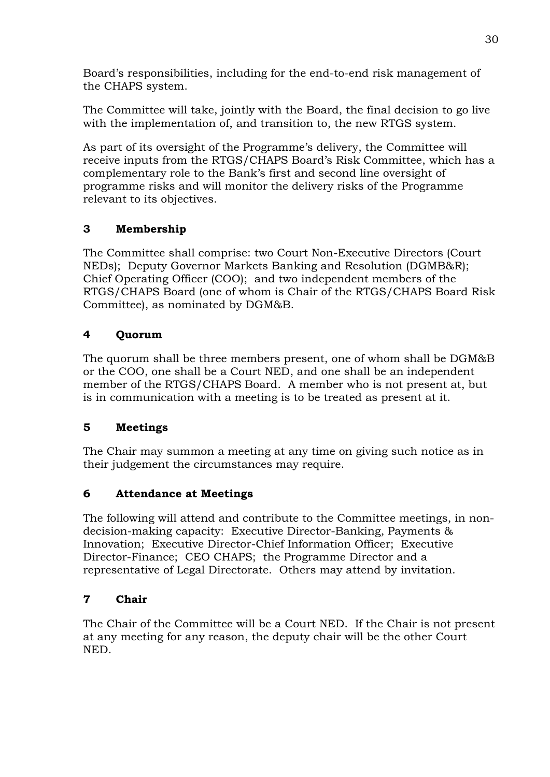Board's responsibilities, including for the end-to-end risk management of the CHAPS system.

The Committee will take, jointly with the Board, the final decision to go live with the implementation of, and transition to, the new RTGS system.

As part of its oversight of the Programme's delivery, the Committee will receive inputs from the RTGS/CHAPS Board's Risk Committee, which has a complementary role to the Bank's first and second line oversight of programme risks and will monitor the delivery risks of the Programme relevant to its objectives.

## **3 Membership**

The Committee shall comprise: two Court Non-Executive Directors (Court NEDs); Deputy Governor Markets Banking and Resolution (DGMB&R); Chief Operating Officer (COO); and two independent members of the RTGS/CHAPS Board (one of whom is Chair of the RTGS/CHAPS Board Risk Committee), as nominated by DGM&B.

## **4 Quorum**

The quorum shall be three members present, one of whom shall be DGM&B or the COO, one shall be a Court NED, and one shall be an independent member of the RTGS/CHAPS Board. A member who is not present at, but is in communication with a meeting is to be treated as present at it.

## **5 Meetings**

The Chair may summon a meeting at any time on giving such notice as in their judgement the circumstances may require.

## **6 Attendance at Meetings**

The following will attend and contribute to the Committee meetings, in nondecision-making capacity: Executive Director-Banking, Payments & Innovation; Executive Director-Chief Information Officer; Executive Director-Finance; CEO CHAPS; the Programme Director and a representative of Legal Directorate. Others may attend by invitation.

## **7 Chair**

The Chair of the Committee will be a Court NED. If the Chair is not present at any meeting for any reason, the deputy chair will be the other Court NED.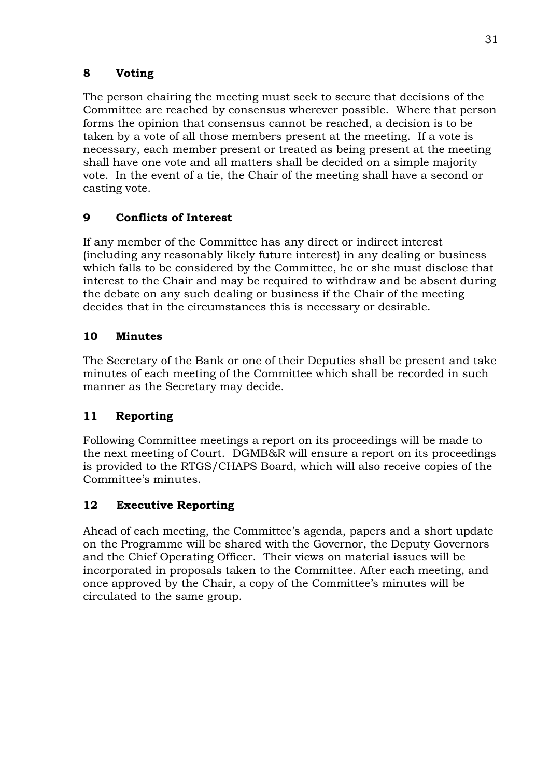### **8 Voting**

The person chairing the meeting must seek to secure that decisions of the Committee are reached by consensus wherever possible. Where that person forms the opinion that consensus cannot be reached, a decision is to be taken by a vote of all those members present at the meeting. If a vote is necessary, each member present or treated as being present at the meeting shall have one vote and all matters shall be decided on a simple majority vote. In the event of a tie, the Chair of the meeting shall have a second or casting vote.

## **9 Conflicts of Interest**

If any member of the Committee has any direct or indirect interest (including any reasonably likely future interest) in any dealing or business which falls to be considered by the Committee, he or she must disclose that interest to the Chair and may be required to withdraw and be absent during the debate on any such dealing or business if the Chair of the meeting decides that in the circumstances this is necessary or desirable.

## **10 Minutes**

The Secretary of the Bank or one of their Deputies shall be present and take minutes of each meeting of the Committee which shall be recorded in such manner as the Secretary may decide.

### **11 Reporting**

Following Committee meetings a report on its proceedings will be made to the next meeting of Court. DGMB&R will ensure a report on its proceedings is provided to the RTGS/CHAPS Board, which will also receive copies of the Committee's minutes.

### **12 Executive Reporting**

Ahead of each meeting, the Committee's agenda, papers and a short update on the Programme will be shared with the Governor, the Deputy Governors and the Chief Operating Officer. Their views on material issues will be incorporated in proposals taken to the Committee. After each meeting, and once approved by the Chair, a copy of the Committee's minutes will be circulated to the same group.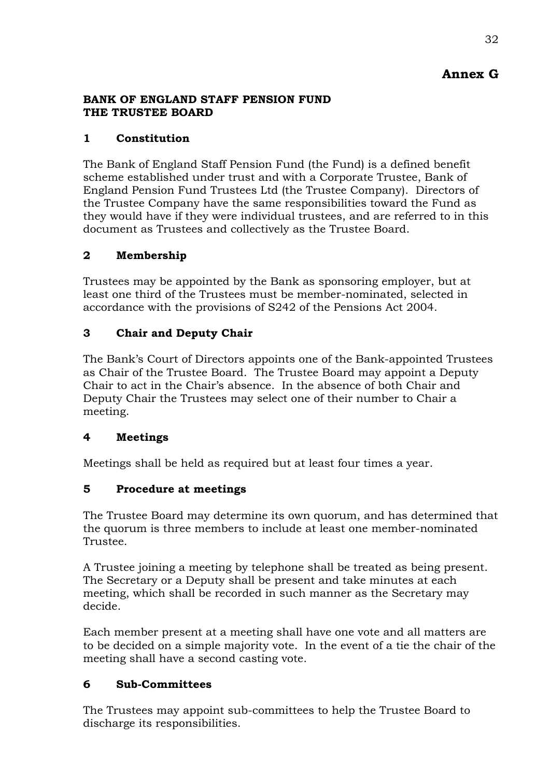# **Annex G**

### **BANK OF ENGLAND STAFF PENSION FUND THE TRUSTEE BOARD**

### **1 Constitution**

The Bank of England Staff Pension Fund (the Fund) is a defined benefit scheme established under trust and with a Corporate Trustee, Bank of England Pension Fund Trustees Ltd (the Trustee Company). Directors of the Trustee Company have the same responsibilities toward the Fund as they would have if they were individual trustees, and are referred to in this document as Trustees and collectively as the Trustee Board.

### **2 Membership**

Trustees may be appointed by the Bank as sponsoring employer, but at least one third of the Trustees must be member-nominated, selected in accordance with the provisions of S242 of the Pensions Act 2004.

### **3 Chair and Deputy Chair**

The Bank's Court of Directors appoints one of the Bank-appointed Trustees as Chair of the Trustee Board. The Trustee Board may appoint a Deputy Chair to act in the Chair's absence. In the absence of both Chair and Deputy Chair the Trustees may select one of their number to Chair a meeting.

#### **4 Meetings**

Meetings shall be held as required but at least four times a year.

### **5 Procedure at meetings**

The Trustee Board may determine its own quorum, and has determined that the quorum is three members to include at least one member-nominated Trustee.

A Trustee joining a meeting by telephone shall be treated as being present. The Secretary or a Deputy shall be present and take minutes at each meeting, which shall be recorded in such manner as the Secretary may decide.

Each member present at a meeting shall have one vote and all matters are to be decided on a simple majority vote. In the event of a tie the chair of the meeting shall have a second casting vote.

### **6 Sub-Committees**

The Trustees may appoint sub-committees to help the Trustee Board to discharge its responsibilities.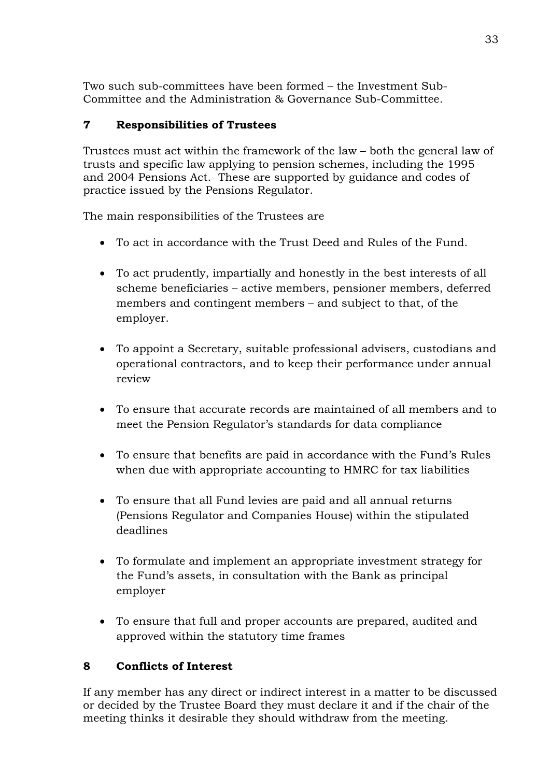Two such sub-committees have been formed – the Investment Sub-Committee and the Administration & Governance Sub-Committee.

### **7 Responsibilities of Trustees**

Trustees must act within the framework of the law – both the general law of trusts and specific law applying to pension schemes, including the 1995 and 2004 Pensions Act. These are supported by guidance and codes of practice issued by the Pensions Regulator.

The main responsibilities of the Trustees are

- To act in accordance with the Trust Deed and Rules of the Fund.
- To act prudently, impartially and honestly in the best interests of all scheme beneficiaries – active members, pensioner members, deferred members and contingent members – and subject to that, of the employer.
- To appoint a Secretary, suitable professional advisers, custodians and operational contractors, and to keep their performance under annual review
- To ensure that accurate records are maintained of all members and to meet the Pension Regulator's standards for data compliance
- To ensure that benefits are paid in accordance with the Fund's Rules when due with appropriate accounting to HMRC for tax liabilities
- To ensure that all Fund levies are paid and all annual returns (Pensions Regulator and Companies House) within the stipulated deadlines
- To formulate and implement an appropriate investment strategy for the Fund's assets, in consultation with the Bank as principal employer
- To ensure that full and proper accounts are prepared, audited and approved within the statutory time frames

### **8 Conflicts of Interest**

If any member has any direct or indirect interest in a matter to be discussed or decided by the Trustee Board they must declare it and if the chair of the meeting thinks it desirable they should withdraw from the meeting.